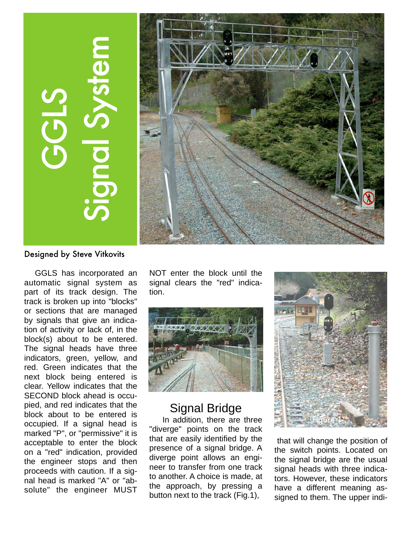

## Designed by Steve Vitkovits

 GGLS has incorporated an automatic signal system as part of its track design. The track is broken up into "blocks" or sections that are managed by signals that give an indication of activity or lack of, in the block(s) about to be entered. The signal heads have three indicators, green, yellow, and red. Green indicates that the next block being entered is clear. Yellow indicates that the SECOND block ahead is occupied, and red indicates that the block about to be entered is occupied. If a signal head is marked "P", or "permissive" it is acceptable to enter the block on a "red" indication, provided the engineer stops and then proceeds with caution. If a signal head is marked "A" or "absolute" the engineer MUST

NOT enter the block until the signal clears the "red" indication.



## Signal Bridge

 In addition, there are three "diverge" points on the track that are easily identified by the presence of a signal bridge. A diverge point allows an engineer to transfer from one track to another. A choice is made, at the approach, by pressing a button next to the track (Fig.1),



 that will change the position of the switch points. Located on the signal bridge are the usual signal heads with three indicators. However, these indicators have a different meaning assigned to them. The upper indi